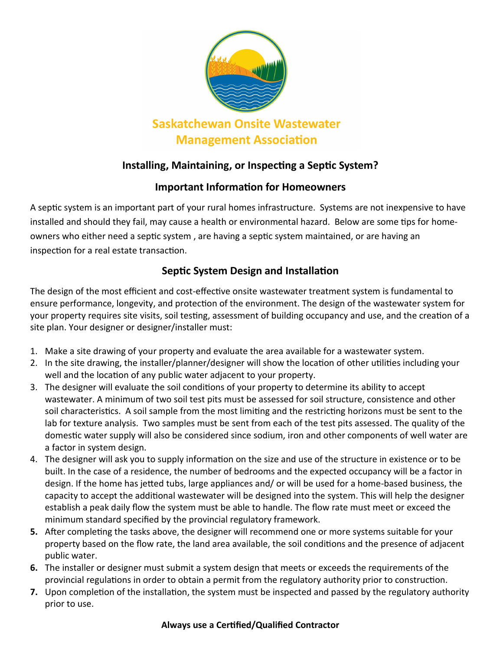

# **Installing, Maintaining, or Inspecting a Septic System?**

# **Important Information for Homeowners**

A septic system is an important part of your rural homes infrastructure. Systems are not inexpensive to have installed and should they fail, may cause a health or environmental hazard. Below are some tips for homeowners who either need a septic system , are having a septic system maintained, or are having an inspection for a real estate transaction.

# **Septic System Design and Installation**

The design of the most efficient and cost-effective onsite wastewater treatment system is fundamental to ensure performance, longevity, and protection of the environment. The design of the wastewater system for your property requires site visits, soil testing, assessment of building occupancy and use, and the creation of a site plan. Your designer or designer/installer must:

- 1. Make a site drawing of your property and evaluate the area available for a wastewater system.
- 2. In the site drawing, the installer/planner/designer will show the location of other utilities including your well and the location of any public water adjacent to your property.
- 3. The designer will evaluate the soil conditions of your property to determine its ability to accept wastewater. A minimum of two soil test pits must be assessed for soil structure, consistence and other soil characteristics. A soil sample from the most limiting and the restricting horizons must be sent to the lab for texture analysis. Two samples must be sent from each of the test pits assessed. The quality of the domestic water supply will also be considered since sodium, iron and other components of well water are a factor in system design.
- 4. The designer will ask you to supply information on the size and use of the structure in existence or to be built. In the case of a residence, the number of bedrooms and the expected occupancy will be a factor in design. If the home has jetted tubs, large appliances and/ or will be used for a home-based business, the capacity to accept the additional wastewater will be designed into the system. This will help the designer establish a peak daily flow the system must be able to handle. The flow rate must meet or exceed the minimum standard specified by the provincial regulatory framework.
- **5.** After completing the tasks above, the designer will recommend one or more systems suitable for your property based on the flow rate, the land area available, the soil conditions and the presence of adjacent public water.
- **6.** The installer or designer must submit a system design that meets or exceeds the requirements of the provincial regulations in order to obtain a permit from the regulatory authority prior to construction.
- **7.** Upon completion of the installation, the system must be inspected and passed by the regulatory authority prior to use.

#### **Always use a Certified/Qualified Contractor**